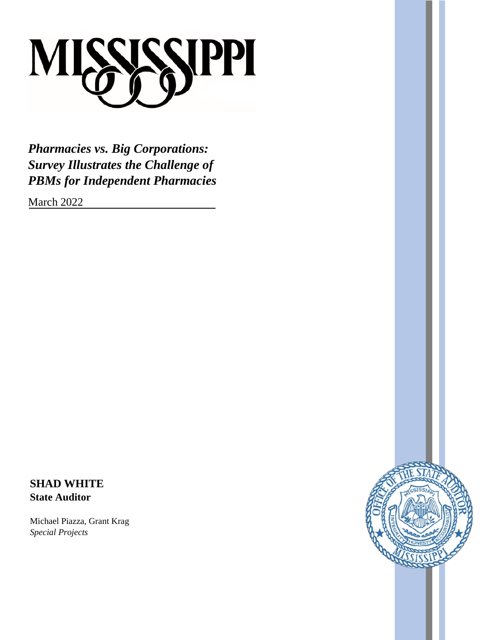

*Pharmacies vs. Big Corporations: Survey Illustrates the Challenge of PBMs for Independent Pharmacies*

March 2022

**SHAD WHITE State Auditor**

Michael Piazza, Grant Krag *Special Projects*

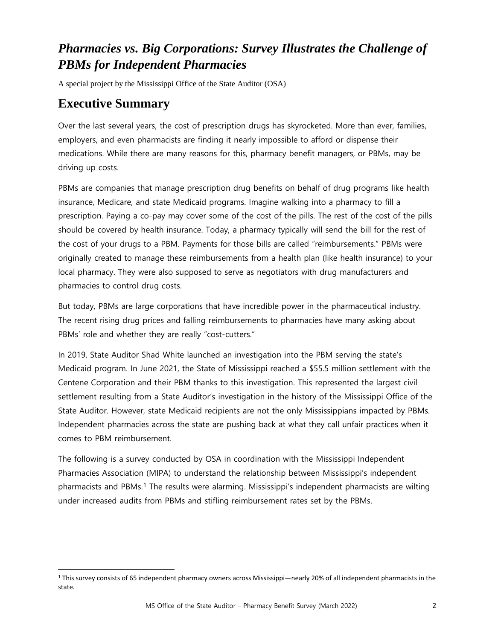# *Pharmacies vs. Big Corporations: Survey Illustrates the Challenge of PBMs for Independent Pharmacies*

A special project by the Mississippi Office of the State Auditor (OSA)

#### **Executive Summary**

Over the last several years, the cost of prescription drugs has skyrocketed. More than ever, families, employers, and even pharmacists are finding it nearly impossible to afford or dispense their medications. While there are many reasons for this, pharmacy benefit managers, or PBMs, may be driving up costs.

PBMs are companies that manage prescription drug benefits on behalf of drug programs like health insurance, Medicare, and state Medicaid programs. Imagine walking into a pharmacy to fill a prescription. Paying a co-pay may cover some of the cost of the pills. The rest of the cost of the pills should be covered by health insurance. Today, a pharmacy typically will send the bill for the rest of the cost of your drugs to a PBM. Payments for those bills are called "reimbursements." PBMs were originally created to manage these reimbursements from a health plan (like health insurance) to your local pharmacy. They were also supposed to serve as negotiators with drug manufacturers and pharmacies to control drug costs.

But today, PBMs are large corporations that have incredible power in the pharmaceutical industry. The recent rising drug prices and falling reimbursements to pharmacies have many asking about PBMs' role and whether they are really "cost-cutters."

In 2019, State Auditor Shad White launched an investigation into the PBM serving the state's Medicaid program. In June 2021, the State of Mississippi reached a \$55.5 million settlement with the Centene Corporation and their PBM thanks to this investigation. This represented the largest civil settlement resulting from a State Auditor's investigation in the history of the Mississippi Office of the State Auditor. However, state Medicaid recipients are not the only Mississippians impacted by PBMs. Independent pharmacies across the state are pushing back at what they call unfair practices when it comes to PBM reimbursement.

The following is a survey conducted by OSA in coordination with the Mississippi Independent Pharmacies Association (MIPA) to understand the relationship between Mississippi's independent pharmacists and PBMs.<sup>[1](#page-1-0)</sup> The results were alarming. Mississippi's independent pharmacists are wilting under increased audits from PBMs and stifling reimbursement rates set by the PBMs.

<span id="page-1-0"></span> <sup>1</sup> This survey consists of 65 independent pharmacy owners across Mississippi—nearly 20% of all independent pharmacists in the state.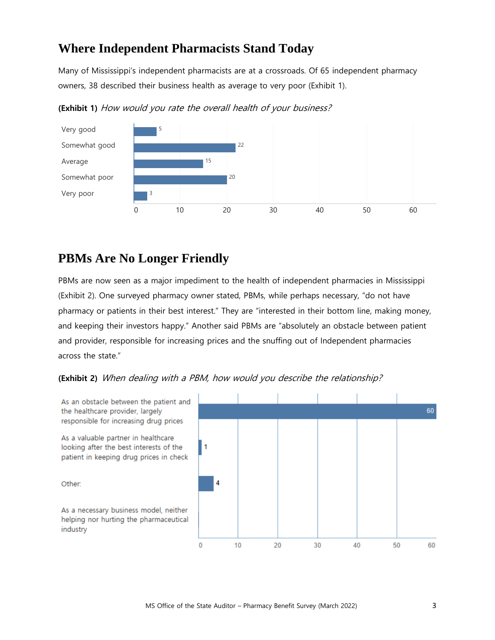## **Where Independent Pharmacists Stand Today**

Many of Mississippi's independent pharmacists are at a crossroads. Of 65 independent pharmacy owners, 38 described their business health as average to very poor (Exhibit 1).



**(Exhibit 1)** How would you rate the overall health of your business?

## **PBMs Are No Longer Friendly**

PBMs are now seen as a major impediment to the health of independent pharmacies in Mississippi (Exhibit 2). One surveyed pharmacy owner stated, PBMs, while perhaps necessary, "do not have pharmacy or patients in their best interest." They are "interested in their bottom line, making money, and keeping their investors happy." Another said PBMs are "absolutely an obstacle between patient and provider, responsible for increasing prices and the snuffing out of Independent pharmacies across the state."



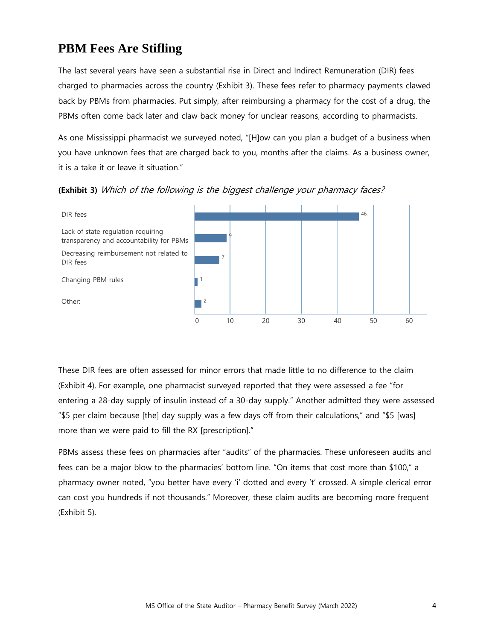### **PBM Fees Are Stifling**

The last several years have seen a substantial rise in Direct and Indirect Remuneration (DIR) fees charged to pharmacies across the country (Exhibit 3). These fees refer to pharmacy payments clawed back by PBMs from pharmacies. Put simply, after reimbursing a pharmacy for the cost of a drug, the PBMs often come back later and claw back money for unclear reasons, according to pharmacists.

As one Mississippi pharmacist we surveyed noted, "[H]ow can you plan a budget of a business when you have unknown fees that are charged back to you, months after the claims. As a business owner, it is a take it or leave it situation."



**(Exhibit 3)** Which of the following is the biggest challenge your pharmacy faces?

These DIR fees are often assessed for minor errors that made little to no difference to the claim (Exhibit 4). For example, one pharmacist surveyed reported that they were assessed a fee "for entering a 28-day supply of insulin instead of a 30-day supply." Another admitted they were assessed "\$5 per claim because [the] day supply was a few days off from their calculations," and "\$5 [was] more than we were paid to fill the RX [prescription]."

PBMs assess these fees on pharmacies after "audits" of the pharmacies. These unforeseen audits and fees can be a major blow to the pharmacies' bottom line. "On items that cost more than \$100," a pharmacy owner noted, "you better have every 'i' dotted and every 't' crossed. A simple clerical error can cost you hundreds if not thousands." Moreover, these claim audits are becoming more frequent (Exhibit 5).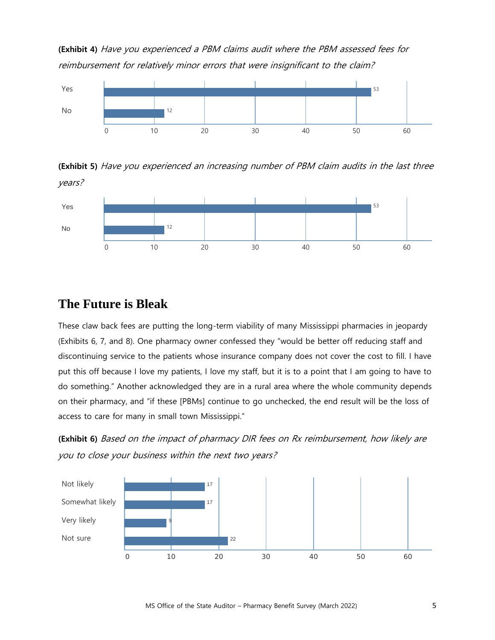**(Exhibit 4)** Have you experienced a PBM claims audit where the PBM assessed fees for reimbursement for relatively minor errors that were insignificant to the claim?



**(Exhibit 5)** Have you experienced an increasing number of PBM claim audits in the last three years?



#### **The Future is Bleak**

These claw back fees are putting the long-term viability of many Mississippi pharmacies in jeopardy (Exhibits 6, 7, and 8). One pharmacy owner confessed they "would be better off reducing staff and discontinuing service to the patients whose insurance company does not cover the cost to fill. I have put this off because I love my patients, I love my staff, but it is to a point that I am going to have to do something." Another acknowledged they are in a rural area where the whole community depends on their pharmacy, and "if these [PBMs] continue to go unchecked, the end result will be the loss of access to care for many in small town Mississippi."

**(Exhibit 6)** Based on the impact of pharmacy DIR fees on Rx reimbursement, how likely are you to close your business within the next two years?